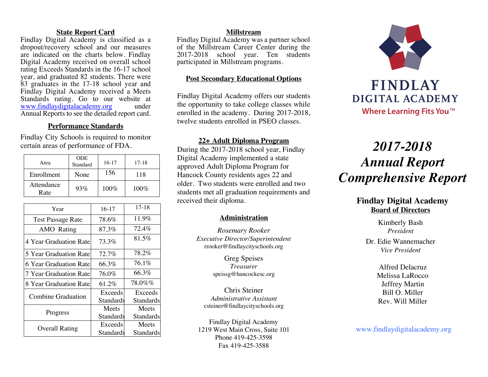#### **State Report Card**

Findlay Digital Academy is classified as a dropout/recovery school and our measures are indicated on the charts below. Findlay Digital Academy received on overall school rating Exceeds Standards in the 16-17 school year, and graduated 82 students. There were 83 graduates in the 17-18 school year and Findlay Digital Academy received a Meets Standards rating. Go to our website at<br>www.findlaydigitalacademy.org under www.findlaydigitalacademy.org Annual Reports to see the detailed report card.

## **Performance Standards**

Findlay City Schools is required to monitor certain areas of performance of FDA.

| Area               | <b>ODE</b><br>Standard | $16-17$ | $17 - 18$ |
|--------------------|------------------------|---------|-----------|
| Enrollment         | None                   | 156     | 118       |
| Attendance<br>Rate | 93%                    | $100\%$ | $100\%$   |

| Year                     | $16-17$   | $17-18$   |
|--------------------------|-----------|-----------|
| <b>Test Passage Rate</b> | 78.6%     | 11.9%     |
| AMO Rating               | 87.3%     | 72.4%     |
| 4 Year Graduation Ratel  | 73.3%     | 81.5%     |
| 5 Year Graduation Rate   | $72.7\%$  | 78.2%     |
| 6 Year Graduation Rate   | 66.3%     | $76.1\%$  |
| 7 Year Graduation Rate   | 76.0%     | 66.3%     |
| 8 Year Graduation Rate   | 61.2%     | 78.0%%    |
| Combine Graduation       | Exceeds   | Exceeds   |
|                          | Standards | Standards |
|                          | Meets     | Meets     |
| Progress                 | Standards | Standards |
|                          | Exceeds   | Meets     |
| <b>Overall Rating</b>    | Standards | Standards |

#### **Millstream**

Findlay Digital Academy was a partner school of the Millstream Career Center during the 2017-2018 school year. Ten students participated in Millstream programs.

### **Post Secondary Educational Options**

Findlay Digital Academy offers our students the opportunity to take college classes while enrolled in the academy. During 2017-2018, twelve students enrolled in PSEO classes.

#### **22+ Adult Diploma Program**

During the 2017-2018 school year, Findlay Digital Academy implemented a state approved Adult Diploma Program for Hancock County residents ages 22 and older. Two students were enrolled and two students met all graduation requirements and received their diploma.

#### **Administration**

*Rosemary Rooker Executive Director/Superintendent* rrooker@findlaycityschools.org

> Greg Speises *Treasurer* speissg@hancockesc.org

Chris Steiner *Administrative Assistant* csteiner@findlaycityschools.org

Findlay Digital Academy 1219 West Main Cross, Suite 101 Phone 419-425-3598 Fax 419-425-3588



# *2017-2018 Annual Report Comprehensive Report*

# **Findlay Digital Academy Board of Directors**

Kimberly Bash *President*

Dr. Edie Wannemacher *Vice President*

> Alfred Delacruz Melissa LaRocco Jeffrey Martin Bill O. Miller Rev. Will Miller

www.findlaydigitalacademy.org